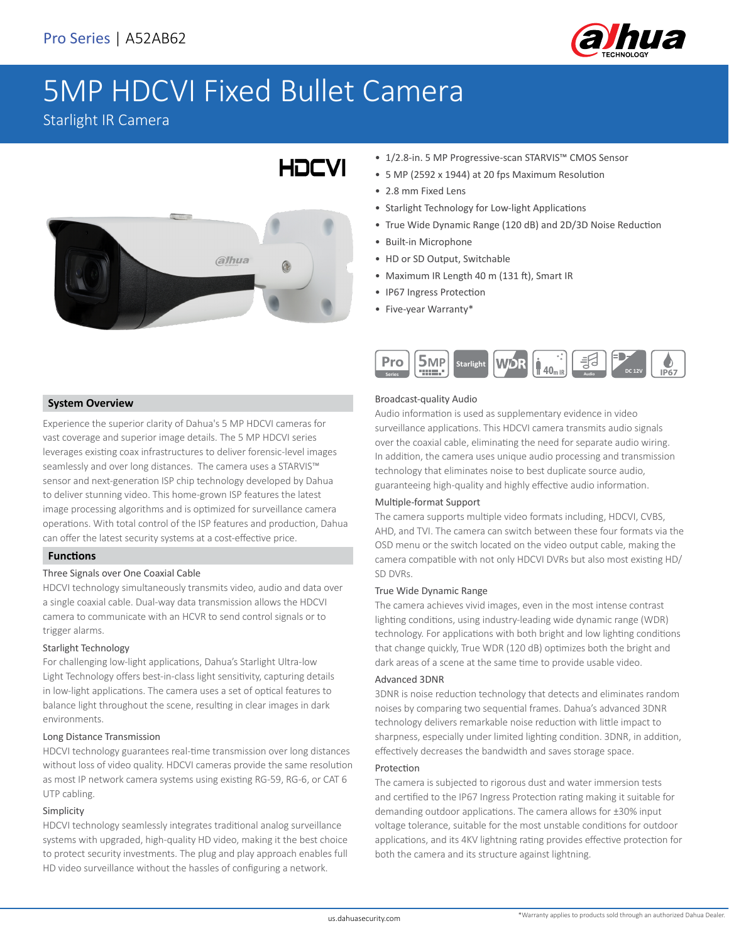

# 5MP HDCVI Fixed Bullet Camera

HOCVI

Starlight IR Camera



- 1/2.8-in. 5 MP Progressive-scan STARVIS™ CMOS Sensor
- 5 MP (2592 x 1944) at 20 fps Maximum Resolution
- 2.8 mm Fixed Lens
- Starlight Technology for Low-light Applications
- True Wide Dynamic Range (120 dB) and 2D/3D Noise Reduction
- Built-in Microphone
- HD or SD Output, Switchable
- Maximum IR Length 40 m (131 ft), Smart IR
- IP67 Ingress Protection
- Five-year Warranty\*



### **System Overview**

Experience the superior clarity of Dahua's 5 MP HDCVI cameras for vast coverage and superior image details. The 5 MP HDCVI series leverages existing coax infrastructures to deliver forensic-level images seamlessly and over long distances. The camera uses a STARVIS™ sensor and next-generation ISP chip technology developed by Dahua to deliver stunning video. This home-grown ISP features the latest image processing algorithms and is optimized for surveillance camera operations. With total control of the ISP features and production, Dahua can offer the latest security systems at a cost-effective price.

### **Functions**

### Three Signals over One Coaxial Cable

HDCVI technology simultaneously transmits video, audio and data over a single coaxial cable. Dual-way data transmission allows the HDCVI camera to communicate with an HCVR to send control signals or to trigger alarms.

### Starlight Technology

For challenging low-light applications, Dahua's Starlight Ultra-low Light Technology offers best-in-class light sensitivity, capturing details in low-light applications. The camera uses a set of optical features to balance light throughout the scene, resulting in clear images in dark environments.

### Long Distance Transmission

HDCVI technology guarantees real-time transmission over long distances without loss of video quality. HDCVI cameras provide the same resolution as most IP network camera systems using existing RG-59, RG-6, or CAT 6 UTP cabling.

### Simplicity

HDCVI technology seamlessly integrates traditional analog surveillance systems with upgraded, high-quality HD video, making it the best choice to protect security investments. The plug and play approach enables full HD video surveillance without the hassles of configuring a network.

### Broadcast-quality Audio

Audio information is used as supplementary evidence in video surveillance applications. This HDCVI camera transmits audio signals over the coaxial cable, eliminating the need for separate audio wiring. In addition, the camera uses unique audio processing and transmission technology that eliminates noise to best duplicate source audio, guaranteeing high-quality and highly effective audio information.

### Multiple-format Support

The camera supports multiple video formats including, HDCVI, CVBS, AHD, and TVI. The camera can switch between these four formats via the OSD menu or the switch located on the video output cable, making the camera compatible with not only HDCVI DVRs but also most existing HD/ SD DVRs.

### True Wide Dynamic Range

The camera achieves vivid images, even in the most intense contrast lighting conditions, using industry-leading wide dynamic range (WDR) technology. For applications with both bright and low lighting conditions that change quickly, True WDR (120 dB) optimizes both the bright and dark areas of a scene at the same time to provide usable video.

### Advanced 3DNR

3DNR is noise reduction technology that detects and eliminates random noises by comparing two sequential frames. Dahua's advanced 3DNR technology delivers remarkable noise reduction with little impact to sharpness, especially under limited lighting condition. 3DNR, in addition, effectively decreases the bandwidth and saves storage space.

### Protection

The camera is subjected to rigorous dust and water immersion tests and certified to the IP67 Ingress Protection rating making it suitable for demanding outdoor applications. The camera allows for ±30% input voltage tolerance, suitable for the most unstable conditions for outdoor applications, and its 4KV lightning rating provides effective protection for both the camera and its structure against lightning.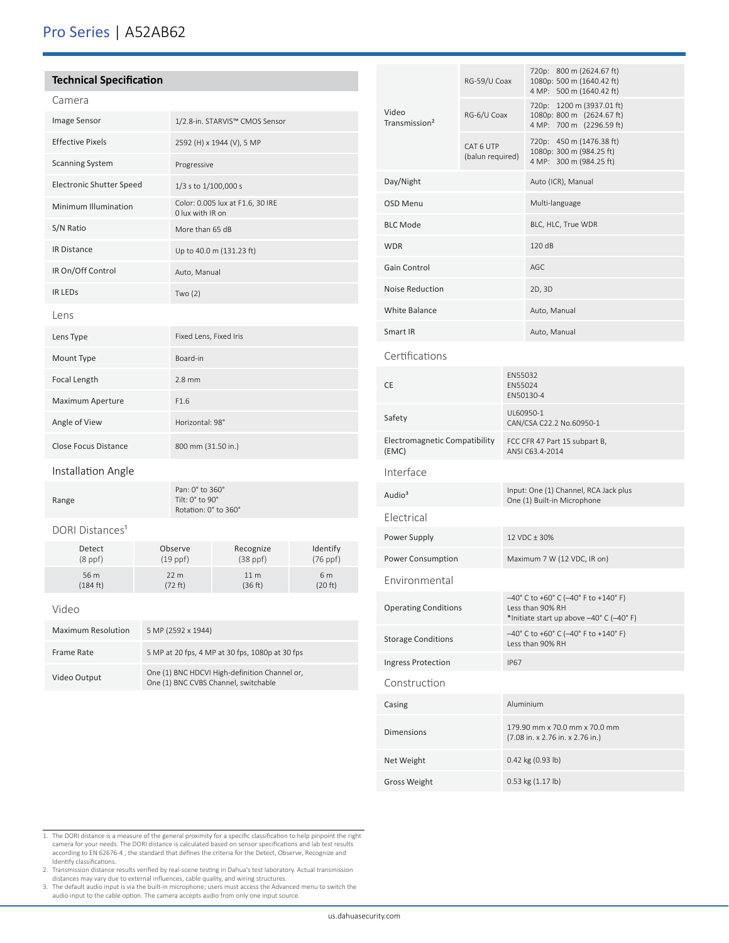# Pro Series | A52AB62

| <b>Technical Specification</b>  |                                                                                       |                                                            |                            |                      |  |  |
|---------------------------------|---------------------------------------------------------------------------------------|------------------------------------------------------------|----------------------------|----------------------|--|--|
| Camera                          |                                                                                       |                                                            |                            |                      |  |  |
| Image Sensor                    |                                                                                       | 1/2.8-in. STARVIS™ CMOS Sensor                             |                            |                      |  |  |
| <b>Effective Pixels</b>         |                                                                                       | 2592 (H) x 1944 (V), 5 MP                                  |                            |                      |  |  |
| <b>Scanning System</b>          |                                                                                       | Progressive                                                |                            |                      |  |  |
| <b>Electronic Shutter Speed</b> |                                                                                       | 1/3 s to 1/100,000 s                                       |                            |                      |  |  |
| Minimum Illumination            |                                                                                       | Color: 0.005 lux at F1.6, 30 IRE<br>0 lux with IR on       |                            |                      |  |  |
| S/N Ratio                       |                                                                                       | More than 65 dB                                            |                            |                      |  |  |
| IR Distance                     |                                                                                       | Up to 40.0 m (131.23 ft)                                   |                            |                      |  |  |
| IR On/Off Control               |                                                                                       | Auto, Manual                                               |                            |                      |  |  |
| <b>IR LEDS</b>                  |                                                                                       | Two $(2)$                                                  |                            |                      |  |  |
| Lens                            |                                                                                       |                                                            |                            |                      |  |  |
| Lens Type                       |                                                                                       | Fixed Lens, Fixed Iris                                     |                            |                      |  |  |
| Mount Type                      |                                                                                       | Board-in                                                   |                            |                      |  |  |
| Focal Length                    |                                                                                       | $2.8$ mm                                                   |                            |                      |  |  |
| Maximum Aperture                |                                                                                       | F1.6                                                       |                            |                      |  |  |
| Angle of View                   |                                                                                       | Horizontal: 98°                                            |                            |                      |  |  |
| <b>Close Focus Distance</b>     |                                                                                       | 800 mm (31.50 in.)                                         |                            |                      |  |  |
| Installation Angle              |                                                                                       |                                                            |                            |                      |  |  |
| Range                           |                                                                                       | Pan: 0° to 360°<br>Tilt: 0° to 90°<br>Rotation: 0° to 360° |                            |                      |  |  |
| DORI Distances <sup>1</sup>     |                                                                                       |                                                            |                            |                      |  |  |
| Detect<br>$(8$ ppf $)$          |                                                                                       | Observe<br>$(19$ ppf $)$                                   | Recognize<br>$(38$ ppf $)$ | Identify<br>(76 ppf) |  |  |
| 56 m<br>(184 ft)                | 22 m<br>(72 ft)                                                                       |                                                            | 11 <sub>m</sub><br>(36 ft) | 6 m<br>(20 ft)       |  |  |
| Video                           |                                                                                       |                                                            |                            |                      |  |  |
| Maximum Resolution              | 5 MP (2592 x 1944)                                                                    |                                                            |                            |                      |  |  |
| Frame Rate                      | 5 MP at 20 fps, 4 MP at 30 fps, 1080p at 30 fps                                       |                                                            |                            |                      |  |  |
| Video Output                    | One (1) BNC HDCVI High-definition Channel or,<br>One (1) BNC CVBS Channel, switchable |                                                            |                            |                      |  |  |

| Video<br>Transmission <sup>2</sup>     | RG-59/U Coax                  |                                                                                                      | 720p: 800 m (2624.67 ft)<br>1080p: 500 m (1640.42 ft)<br>4 MP: 500 m (1640.42 ft)  |  |  |  |
|----------------------------------------|-------------------------------|------------------------------------------------------------------------------------------------------|------------------------------------------------------------------------------------|--|--|--|
|                                        | RG-6/U Coax                   |                                                                                                      | 720p: 1200 m (3937.01 ft)<br>1080p: 800 m (2624.67 ft)<br>4 MP: 700 m (2296.59 ft) |  |  |  |
|                                        | CAT 6 UTP<br>(balun required) |                                                                                                      | 720p: 450 m (1476.38 ft)<br>1080p: 300 m (984.25 ft)<br>4 MP: 300 m (984.25 ft)    |  |  |  |
| Day/Night                              |                               |                                                                                                      | Auto (ICR), Manual                                                                 |  |  |  |
| OSD Menu                               |                               |                                                                                                      | Multi-language                                                                     |  |  |  |
| <b>BLC Mode</b>                        |                               |                                                                                                      | BLC, HLC, True WDR                                                                 |  |  |  |
| <b>WDR</b>                             |                               |                                                                                                      | 120 dB                                                                             |  |  |  |
| Gain Control                           |                               |                                                                                                      | AGC                                                                                |  |  |  |
| <b>Noise Reduction</b>                 |                               |                                                                                                      | 2D, 3D                                                                             |  |  |  |
| <b>White Balance</b>                   |                               |                                                                                                      | Auto, Manual                                                                       |  |  |  |
| Smart IR                               |                               |                                                                                                      | Auto, Manual                                                                       |  |  |  |
| Certifications                         |                               |                                                                                                      |                                                                                    |  |  |  |
| <b>CE</b>                              |                               |                                                                                                      | EN55032<br>EN55024<br>EN50130-4                                                    |  |  |  |
| Safety                                 |                               |                                                                                                      | UL60950-1<br>CAN/CSA C22.2 No.60950-1                                              |  |  |  |
| Electromagnetic Compatibility<br>(EMC) |                               |                                                                                                      | FCC CFR 47 Part 15 subpart B,<br>ANSI C63.4-2014                                   |  |  |  |
| Interface                              |                               |                                                                                                      |                                                                                    |  |  |  |
| Audio <sup>3</sup>                     |                               | Input: One (1) Channel, RCA Jack plus<br>One (1) Built-in Microphone                                 |                                                                                    |  |  |  |
| Electrical                             |                               |                                                                                                      |                                                                                    |  |  |  |
| Power Supply                           |                               |                                                                                                      | 12 VDC ± 30%                                                                       |  |  |  |
| Power Consumption                      |                               |                                                                                                      | Maximum 7 W (12 VDC, IR on)                                                        |  |  |  |
| Environmental                          |                               |                                                                                                      |                                                                                    |  |  |  |
| <b>Operating Conditions</b>            |                               | -40° C to +60° C (-40° F to +140° F)<br>Less than 90% RH<br>*Initiate start up above -40° C (-40° F) |                                                                                    |  |  |  |
| <b>Storage Conditions</b>              |                               | $-40^{\circ}$ C to +60° C (-40° F to +140° F)<br>Less than 90% RH                                    |                                                                                    |  |  |  |
| <b>Ingress Protection</b>              |                               | <b>IP67</b>                                                                                          |                                                                                    |  |  |  |
| Construction                           |                               |                                                                                                      |                                                                                    |  |  |  |
| Casing                                 |                               | Aluminium                                                                                            |                                                                                    |  |  |  |
| <b>Dimensions</b>                      |                               |                                                                                                      | 179.90 mm x 70.0 mm x 70.0 mm<br>(7.08 in. x 2.76 in. x 2.76 in.)                  |  |  |  |
| Net Weight                             |                               |                                                                                                      | 0.42 kg (0.93 lb)                                                                  |  |  |  |
| <b>Gross Weight</b>                    |                               |                                                                                                      | $0.53$ kg $(1.17$ lb)                                                              |  |  |  |

- 1. The DORI distance is a measure of the general proximity for a specific classification to help pinpoint the right camera for your needs. The DORI distance is calculated based on sensor specifications and lab test results
- 2. Transmission distance results verified by real-scene testing in Dahua's test laboratory. Actual transmission
- distances may vary due to external influences, cable quality, and wiring structures. 3. The default audio input is via the built-in microphone; users must access the Advanced menu to switch the audio input to the cable option. The camera accepts audio from only one input source.